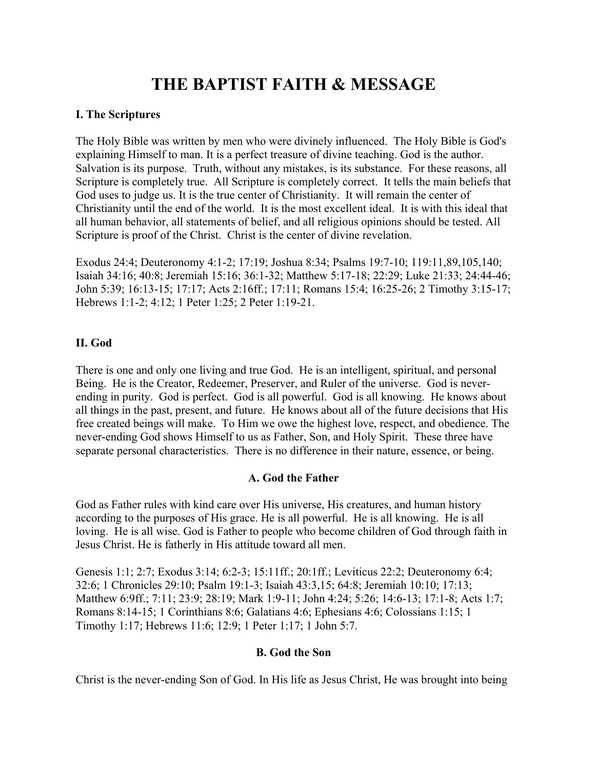# **THE BAPTIST FAITH & MESSAGE**

#### **I. The Scriptures**

The Holy Bible was written by men who were divinely influenced. The Holy Bible is God's explaining Himself to man. It is a perfect treasure of divine teaching. God is the author. Salvation is its purpose. Truth, without any mistakes, is its substance. For these reasons, all Scripture is completely true. All Scripture is completely correct. It tells the main beliefs that God uses to judge us. It is the true center of Christianity. It will remain the center of Christianity until the end of the world. It is the most excellent ideal. It is with this ideal that all human behavior, all statements of belief, and all religious opinions should be tested. All Scripture is proof of the Christ. Christ is the center of divine revelation.

Exodus 24:4; Deuteronomy 4:1-2; 17:19; Joshua 8:34; Psalms 19:7-10; 119:11,89,105,140; Isaiah 34:16; 40:8; Jeremiah 15:16; 36:1-32; Matthew 5:17-18; 22:29; Luke 21:33; 24:44-46; John 5:39; 16:13-15; 17:17; Acts 2:16ff.; 17:11; Romans 15:4; 16:25-26; 2 Timothy 3:15-17; Hebrews 1:1-2; 4:12; 1 Peter 1:25; 2 Peter 1:19-21.

#### **II. God**

There is one and only one living and true God. He is an intelligent, spiritual, and personal Being. He is the Creator, Redeemer, Preserver, and Ruler of the universe. God is neverending in purity. God is perfect. God is all powerful. God is all knowing. He knows about all things in the past, present, and future. He knows about all of the future decisions that His free created beings will make. To Him we owe the highest love, respect, and obedience. The never-ending God shows Himself to us as Father, Son, and Holy Spirit. These three have separate personal characteristics. There is no difference in their nature, essence, or being.

# **A. God the Father**

God as Father rules with kind care over His universe, His creatures, and human history according to the purposes of His grace. He is all powerful. He is all knowing. He is all loving. He is all wise. God is Father to people who become children of God through faith in Jesus Christ. He is fatherly in His attitude toward all men.

Genesis 1:1; 2:7; Exodus 3:14; 6:2-3; 15:11ff.; 20:1ff.; Leviticus 22:2; Deuteronomy 6:4; 32:6; 1 Chronicles 29:10; Psalm 19:1-3; Isaiah 43:3,15; 64:8; Jeremiah 10:10; 17:13; Matthew 6:9ff.; 7:11; 23:9; 28:19; Mark 1:9-11; John 4:24; 5:26; 14:6-13; 17:1-8; Acts 1:7; Romans 8:14-15; 1 Corinthians 8:6; Galatians 4:6; Ephesians 4:6; Colossians 1:15; 1 Timothy 1:17; Hebrews 11:6; 12:9; 1 Peter 1:17; 1 John 5:7.

# **B. God the Son**

Christ is the never-ending Son of God. In His life as Jesus Christ, He was brought into being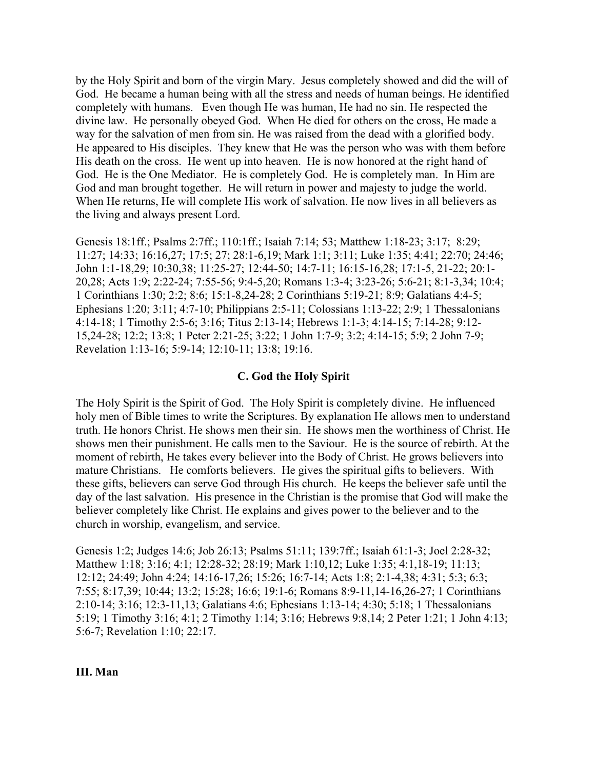by the Holy Spirit and born of the virgin Mary. Jesus completely showed and did the will of God. He became a human being with all the stress and needs of human beings. He identified completely with humans. Even though He was human, He had no sin. He respected the divine law. He personally obeyed God. When He died for others on the cross, He made a way for the salvation of men from sin. He was raised from the dead with a glorified body. He appeared to His disciples. They knew that He was the person who was with them before His death on the cross. He went up into heaven. He is now honored at the right hand of God. He is the One Mediator. He is completely God. He is completely man. In Him are God and man brought together. He will return in power and majesty to judge the world. When He returns, He will complete His work of salvation. He now lives in all believers as the living and always present Lord.

Genesis 18:1ff.; Psalms 2:7ff.; 110:1ff.; Isaiah 7:14; 53; Matthew 1:18-23; 3:17; 8:29; 11:27; 14:33; 16:16,27; 17:5; 27; 28:1-6,19; Mark 1:1; 3:11; Luke 1:35; 4:41; 22:70; 24:46; John 1:1-18,29; 10:30,38; 11:25-27; 12:44-50; 14:7-11; 16:15-16,28; 17:1-5, 21-22; 20:1- 20,28; Acts 1:9; 2:22-24; 7:55-56; 9:4-5,20; Romans 1:3-4; 3:23-26; 5:6-21; 8:1-3,34; 10:4; 1 Corinthians 1:30; 2:2; 8:6; 15:1-8,24-28; 2 Corinthians 5:19-21; 8:9; Galatians 4:4-5; Ephesians 1:20; 3:11; 4:7-10; Philippians 2:5-11; Colossians 1:13-22; 2:9; 1 Thessalonians 4:14-18; 1 Timothy 2:5-6; 3:16; Titus 2:13-14; Hebrews 1:1-3; 4:14-15; 7:14-28; 9:12- 15,24-28; 12:2; 13:8; 1 Peter 2:21-25; 3:22; 1 John 1:7-9; 3:2; 4:14-15; 5:9; 2 John 7-9; Revelation 1:13-16; 5:9-14; 12:10-11; 13:8; 19:16.

#### **C. God the Holy Spirit**

The Holy Spirit is the Spirit of God. The Holy Spirit is completely divine. He influenced holy men of Bible times to write the Scriptures. By explanation He allows men to understand truth. He honors Christ. He shows men their sin. He shows men the worthiness of Christ. He shows men their punishment. He calls men to the Saviour. He is the source of rebirth. At the moment of rebirth, He takes every believer into the Body of Christ. He grows believers into mature Christians. He comforts believers. He gives the spiritual gifts to believers. With these gifts, believers can serve God through His church. He keeps the believer safe until the day of the last salvation. His presence in the Christian is the promise that God will make the believer completely like Christ. He explains and gives power to the believer and to the church in worship, evangelism, and service.

Genesis 1:2; Judges 14:6; Job 26:13; Psalms 51:11; 139:7ff.; Isaiah 61:1-3; Joel 2:28-32; Matthew 1:18; 3:16; 4:1; 12:28-32; 28:19; Mark 1:10,12; Luke 1:35; 4:1,18-19; 11:13; 12:12; 24:49; John 4:24; 14:16-17,26; 15:26; 16:7-14; Acts 1:8; 2:1-4,38; 4:31; 5:3; 6:3; 7:55; 8:17,39; 10:44; 13:2; 15:28; 16:6; 19:1-6; Romans 8:9-11,14-16,26-27; 1 Corinthians 2:10-14; 3:16; 12:3-11,13; Galatians 4:6; Ephesians 1:13-14; 4:30; 5:18; 1 Thessalonians 5:19; 1 Timothy 3:16; 4:1; 2 Timothy 1:14; 3:16; Hebrews 9:8,14; 2 Peter 1:21; 1 John 4:13; 5:6-7; Revelation 1:10; 22:17.

#### **III. Man**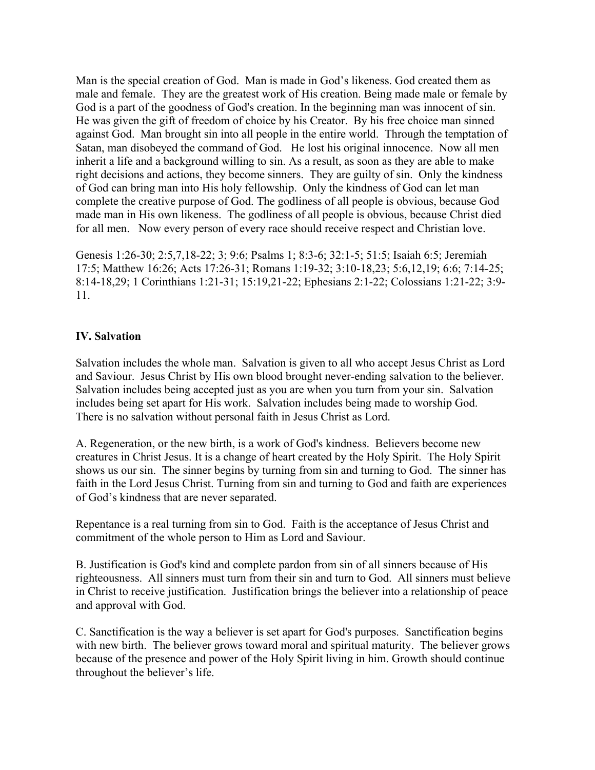Man is the special creation of God. Man is made in God's likeness. God created them as male and female. They are the greatest work of His creation. Being made male or female by God is a part of the goodness of God's creation. In the beginning man was innocent of sin. He was given the gift of freedom of choice by his Creator. By his free choice man sinned against God. Man brought sin into all people in the entire world. Through the temptation of Satan, man disobeyed the command of God. He lost his original innocence. Now all men inherit a life and a background willing to sin. As a result, as soon as they are able to make right decisions and actions, they become sinners. They are guilty of sin. Only the kindness of God can bring man into His holy fellowship. Only the kindness of God can let man complete the creative purpose of God. The godliness of all people is obvious, because God made man in His own likeness. The godliness of all people is obvious, because Christ died for all men. Now every person of every race should receive respect and Christian love.

Genesis 1:26-30; 2:5,7,18-22; 3; 9:6; Psalms 1; 8:3-6; 32:1-5; 51:5; Isaiah 6:5; Jeremiah 17:5; Matthew 16:26; Acts 17:26-31; Romans 1:19-32; 3:10-18,23; 5:6,12,19; 6:6; 7:14-25; 8:14-18,29; 1 Corinthians 1:21-31; 15:19,21-22; Ephesians 2:1-22; Colossians 1:21-22; 3:9- 11.

#### **IV. Salvation**

Salvation includes the whole man. Salvation is given to all who accept Jesus Christ as Lord and Saviour. Jesus Christ by His own blood brought never-ending salvation to the believer. Salvation includes being accepted just as you are when you turn from your sin. Salvation includes being set apart for His work. Salvation includes being made to worship God. There is no salvation without personal faith in Jesus Christ as Lord.

A. Regeneration, or the new birth, is a work of God's kindness. Believers become new creatures in Christ Jesus. It is a change of heart created by the Holy Spirit. The Holy Spirit shows us our sin. The sinner begins by turning from sin and turning to God. The sinner has faith in the Lord Jesus Christ. Turning from sin and turning to God and faith are experiences of God's kindness that are never separated.

Repentance is a real turning from sin to God. Faith is the acceptance of Jesus Christ and commitment of the whole person to Him as Lord and Saviour.

B. Justification is God's kind and complete pardon from sin of all sinners because of His righteousness. All sinners must turn from their sin and turn to God. All sinners must believe in Christ to receive justification. Justification brings the believer into a relationship of peace and approval with God.

C. Sanctification is the way a believer is set apart for God's purposes. Sanctification begins with new birth. The believer grows toward moral and spiritual maturity. The believer grows because of the presence and power of the Holy Spirit living in him. Growth should continue throughout the believer's life.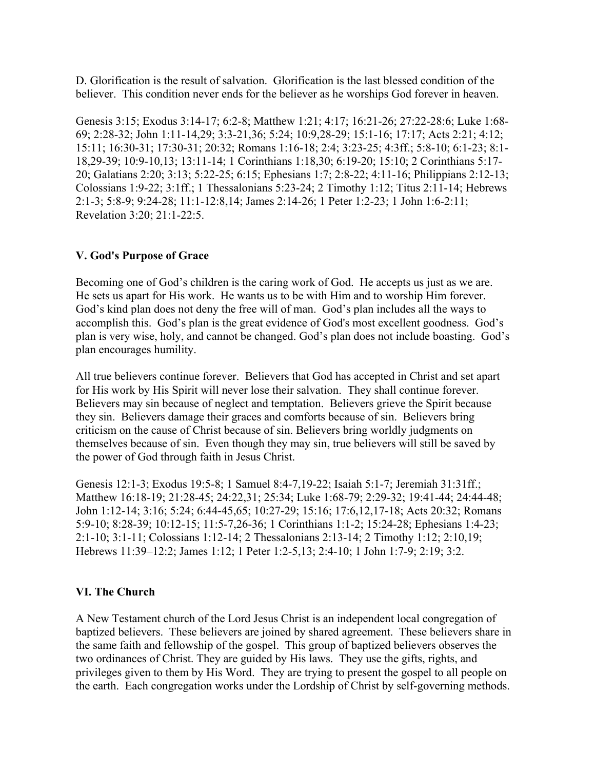D. Glorification is the result of salvation. Glorification is the last blessed condition of the believer. This condition never ends for the believer as he worships God forever in heaven.

Genesis 3:15; Exodus 3:14-17; 6:2-8; Matthew 1:21; 4:17; 16:21-26; 27:22-28:6; Luke 1:68- 69; 2:28-32; John 1:11-14,29; 3:3-21,36; 5:24; 10:9,28-29; 15:1-16; 17:17; Acts 2:21; 4:12; 15:11; 16:30-31; 17:30-31; 20:32; Romans 1:16-18; 2:4; 3:23-25; 4:3ff.; 5:8-10; 6:1-23; 8:1- 18,29-39; 10:9-10,13; 13:11-14; 1 Corinthians 1:18,30; 6:19-20; 15:10; 2 Corinthians 5:17- 20; Galatians 2:20; 3:13; 5:22-25; 6:15; Ephesians 1:7; 2:8-22; 4:11-16; Philippians 2:12-13; Colossians 1:9-22; 3:1ff.; 1 Thessalonians 5:23-24; 2 Timothy 1:12; Titus 2:11-14; Hebrews 2:1-3; 5:8-9; 9:24-28; 11:1-12:8,14; James 2:14-26; 1 Peter 1:2-23; 1 John 1:6-2:11; Revelation 3:20; 21:1-22:5.

#### **V. God's Purpose of Grace**

Becoming one of God's children is the caring work of God. He accepts us just as we are. He sets us apart for His work. He wants us to be with Him and to worship Him forever. God's kind plan does not deny the free will of man. God's plan includes all the ways to accomplish this. God's plan is the great evidence of God's most excellent goodness. God's plan is very wise, holy, and cannot be changed. God's plan does not include boasting. God's plan encourages humility.

All true believers continue forever. Believers that God has accepted in Christ and set apart for His work by His Spirit will never lose their salvation. They shall continue forever. Believers may sin because of neglect and temptation. Believers grieve the Spirit because they sin. Believers damage their graces and comforts because of sin. Believers bring criticism on the cause of Christ because of sin. Believers bring worldly judgments on themselves because of sin. Even though they may sin, true believers will still be saved by the power of God through faith in Jesus Christ.

Genesis 12:1-3; Exodus 19:5-8; 1 Samuel 8:4-7,19-22; Isaiah 5:1-7; Jeremiah 31:31ff.; Matthew 16:18-19; 21:28-45; 24:22,31; 25:34; Luke 1:68-79; 2:29-32; 19:41-44; 24:44-48; John 1:12-14; 3:16; 5:24; 6:44-45,65; 10:27-29; 15:16; 17:6,12,17-18; Acts 20:32; Romans 5:9-10; 8:28-39; 10:12-15; 11:5-7,26-36; 1 Corinthians 1:1-2; 15:24-28; Ephesians 1:4-23; 2:1-10; 3:1-11; Colossians 1:12-14; 2 Thessalonians 2:13-14; 2 Timothy 1:12; 2:10,19; Hebrews 11:39–12:2; James 1:12; 1 Peter 1:2-5,13; 2:4-10; 1 John 1:7-9; 2:19; 3:2.

# **VI. The Church**

A New Testament church of the Lord Jesus Christ is an independent local congregation of baptized believers. These believers are joined by shared agreement. These believers share in the same faith and fellowship of the gospel. This group of baptized believers observes the two ordinances of Christ. They are guided by His laws. They use the gifts, rights, and privileges given to them by His Word. They are trying to present the gospel to all people on the earth. Each congregation works under the Lordship of Christ by self-governing methods.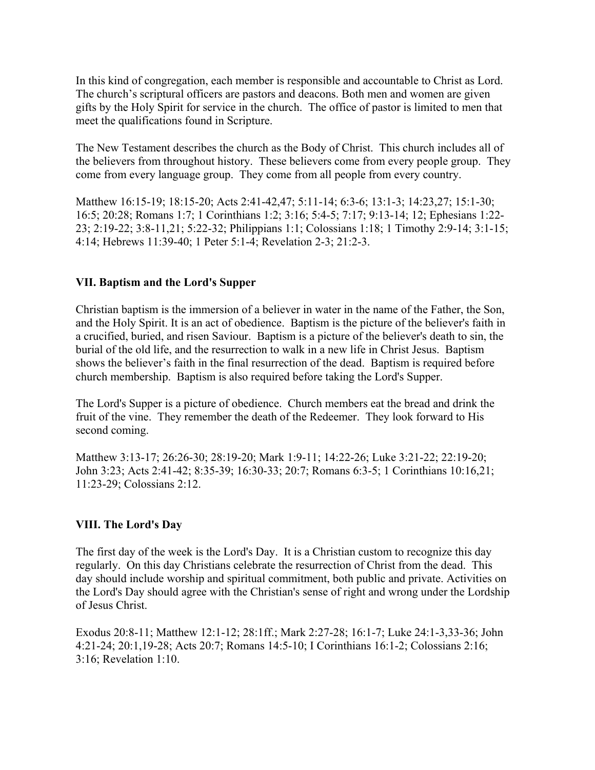In this kind of congregation, each member is responsible and accountable to Christ as Lord. The church's scriptural officers are pastors and deacons. Both men and women are given gifts by the Holy Spirit for service in the church. The office of pastor is limited to men that meet the qualifications found in Scripture.

The New Testament describes the church as the Body of Christ. This church includes all of the believers from throughout history. These believers come from every people group. They come from every language group. They come from all people from every country.

Matthew 16:15-19; 18:15-20; Acts 2:41-42,47; 5:11-14; 6:3-6; 13:1-3; 14:23,27; 15:1-30; 16:5; 20:28; Romans 1:7; 1 Corinthians 1:2; 3:16; 5:4-5; 7:17; 9:13-14; 12; Ephesians 1:22- 23; 2:19-22; 3:8-11,21; 5:22-32; Philippians 1:1; Colossians 1:18; 1 Timothy 2:9-14; 3:1-15; 4:14; Hebrews 11:39-40; 1 Peter 5:1-4; Revelation 2-3; 21:2-3.

#### **VII. Baptism and the Lord's Supper**

Christian baptism is the immersion of a believer in water in the name of the Father, the Son, and the Holy Spirit. It is an act of obedience. Baptism is the picture of the believer's faith in a crucified, buried, and risen Saviour. Baptism is a picture of the believer's death to sin, the burial of the old life, and the resurrection to walk in a new life in Christ Jesus. Baptism shows the believer's faith in the final resurrection of the dead. Baptism is required before church membership. Baptism is also required before taking the Lord's Supper.

The Lord's Supper is a picture of obedience. Church members eat the bread and drink the fruit of the vine. They remember the death of the Redeemer. They look forward to His second coming.

Matthew 3:13-17; 26:26-30; 28:19-20; Mark 1:9-11; 14:22-26; Luke 3:21-22; 22:19-20; John 3:23; Acts 2:41-42; 8:35-39; 16:30-33; 20:7; Romans 6:3-5; 1 Corinthians 10:16,21; 11:23-29; Colossians 2:12.

# **VIII. The Lord's Day**

The first day of the week is the Lord's Day. It is a Christian custom to recognize this day regularly. On this day Christians celebrate the resurrection of Christ from the dead. This day should include worship and spiritual commitment, both public and private. Activities on the Lord's Day should agree with the Christian's sense of right and wrong under the Lordship of Jesus Christ.

Exodus 20:8-11; Matthew 12:1-12; 28:1ff.; Mark 2:27-28; 16:1-7; Luke 24:1-3,33-36; John 4:21-24; 20:1,19-28; Acts 20:7; Romans 14:5-10; I Corinthians 16:1-2; Colossians 2:16; 3:16; Revelation 1:10.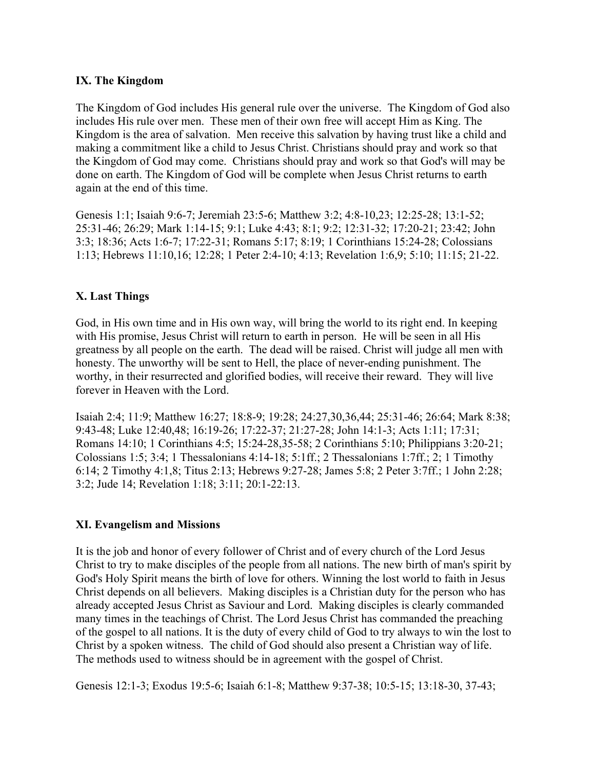#### **IX. The Kingdom**

The Kingdom of God includes His general rule over the universe. The Kingdom of God also includes His rule over men. These men of their own free will accept Him as King. The Kingdom is the area of salvation. Men receive this salvation by having trust like a child and making a commitment like a child to Jesus Christ. Christians should pray and work so that the Kingdom of God may come. Christians should pray and work so that God's will may be done on earth. The Kingdom of God will be complete when Jesus Christ returns to earth again at the end of this time.

Genesis 1:1; Isaiah 9:6-7; Jeremiah 23:5-6; Matthew 3:2; 4:8-10,23; 12:25-28; 13:1-52; 25:31-46; 26:29; Mark 1:14-15; 9:1; Luke 4:43; 8:1; 9:2; 12:31-32; 17:20-21; 23:42; John 3:3; 18:36; Acts 1:6-7; 17:22-31; Romans 5:17; 8:19; 1 Corinthians 15:24-28; Colossians 1:13; Hebrews 11:10,16; 12:28; 1 Peter 2:4-10; 4:13; Revelation 1:6,9; 5:10; 11:15; 21-22.

# **X. Last Things**

God, in His own time and in His own way, will bring the world to its right end. In keeping with His promise, Jesus Christ will return to earth in person. He will be seen in all His greatness by all people on the earth. The dead will be raised. Christ will judge all men with honesty. The unworthy will be sent to Hell, the place of never-ending punishment. The worthy, in their resurrected and glorified bodies, will receive their reward. They will live forever in Heaven with the Lord.

Isaiah 2:4; 11:9; Matthew 16:27; 18:8-9; 19:28; 24:27,30,36,44; 25:31-46; 26:64; Mark 8:38; 9:43-48; Luke 12:40,48; 16:19-26; 17:22-37; 21:27-28; John 14:1-3; Acts 1:11; 17:31; Romans 14:10; 1 Corinthians 4:5; 15:24-28,35-58; 2 Corinthians 5:10; Philippians 3:20-21; Colossians 1:5; 3:4; 1 Thessalonians 4:14-18; 5:1ff.; 2 Thessalonians 1:7ff.; 2; 1 Timothy 6:14; 2 Timothy 4:1,8; Titus 2:13; Hebrews 9:27-28; James 5:8; 2 Peter 3:7ff.; 1 John 2:28; 3:2; Jude 14; Revelation 1:18; 3:11; 20:1-22:13.

# **XI. Evangelism and Missions**

It is the job and honor of every follower of Christ and of every church of the Lord Jesus Christ to try to make disciples of the people from all nations. The new birth of man's spirit by God's Holy Spirit means the birth of love for others. Winning the lost world to faith in Jesus Christ depends on all believers. Making disciples is a Christian duty for the person who has already accepted Jesus Christ as Saviour and Lord. Making disciples is clearly commanded many times in the teachings of Christ. The Lord Jesus Christ has commanded the preaching of the gospel to all nations. It is the duty of every child of God to try always to win the lost to Christ by a spoken witness. The child of God should also present a Christian way of life. The methods used to witness should be in agreement with the gospel of Christ.

Genesis 12:1-3; Exodus 19:5-6; Isaiah 6:1-8; Matthew 9:37-38; 10:5-15; 13:18-30, 37-43;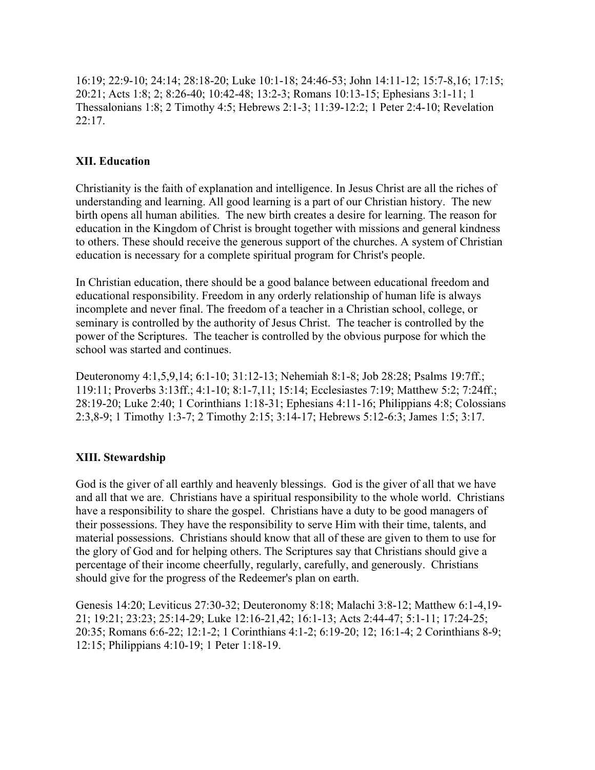16:19; 22:9-10; 24:14; 28:18-20; Luke 10:1-18; 24:46-53; John 14:11-12; 15:7-8,16; 17:15; 20:21; Acts 1:8; 2; 8:26-40; 10:42-48; 13:2-3; Romans 10:13-15; Ephesians 3:1-11; 1 Thessalonians 1:8; 2 Timothy 4:5; Hebrews 2:1-3; 11:39-12:2; 1 Peter 2:4-10; Revelation  $22:17.$ 

# **XII. Education**

Christianity is the faith of explanation and intelligence. In Jesus Christ are all the riches of understanding and learning. All good learning is a part of our Christian history. The new birth opens all human abilities. The new birth creates a desire for learning. The reason for education in the Kingdom of Christ is brought together with missions and general kindness to others. These should receive the generous support of the churches. A system of Christian education is necessary for a complete spiritual program for Christ's people.

In Christian education, there should be a good balance between educational freedom and educational responsibility. Freedom in any orderly relationship of human life is always incomplete and never final. The freedom of a teacher in a Christian school, college, or seminary is controlled by the authority of Jesus Christ. The teacher is controlled by the power of the Scriptures. The teacher is controlled by the obvious purpose for which the school was started and continues.

Deuteronomy 4:1,5,9,14; 6:1-10; 31:12-13; Nehemiah 8:1-8; Job 28:28; Psalms 19:7ff.; 119:11; Proverbs 3:13ff.; 4:1-10; 8:1-7,11; 15:14; Ecclesiastes 7:19; Matthew 5:2; 7:24ff.; 28:19-20; Luke 2:40; 1 Corinthians 1:18-31; Ephesians 4:11-16; Philippians 4:8; Colossians 2:3,8-9; 1 Timothy 1:3-7; 2 Timothy 2:15; 3:14-17; Hebrews 5:12-6:3; James 1:5; 3:17.

# **XIII. Stewardship**

God is the giver of all earthly and heavenly blessings. God is the giver of all that we have and all that we are. Christians have a spiritual responsibility to the whole world. Christians have a responsibility to share the gospel. Christians have a duty to be good managers of their possessions. They have the responsibility to serve Him with their time, talents, and material possessions. Christians should know that all of these are given to them to use for the glory of God and for helping others. The Scriptures say that Christians should give a percentage of their income cheerfully, regularly, carefully, and generously. Christians should give for the progress of the Redeemer's plan on earth.

Genesis 14:20; Leviticus 27:30-32; Deuteronomy 8:18; Malachi 3:8-12; Matthew 6:1-4,19- 21; 19:21; 23:23; 25:14-29; Luke 12:16-21,42; 16:1-13; Acts 2:44-47; 5:1-11; 17:24-25; 20:35; Romans 6:6-22; 12:1-2; 1 Corinthians 4:1-2; 6:19-20; 12; 16:1-4; 2 Corinthians 8-9; 12:15; Philippians 4:10-19; 1 Peter 1:18-19.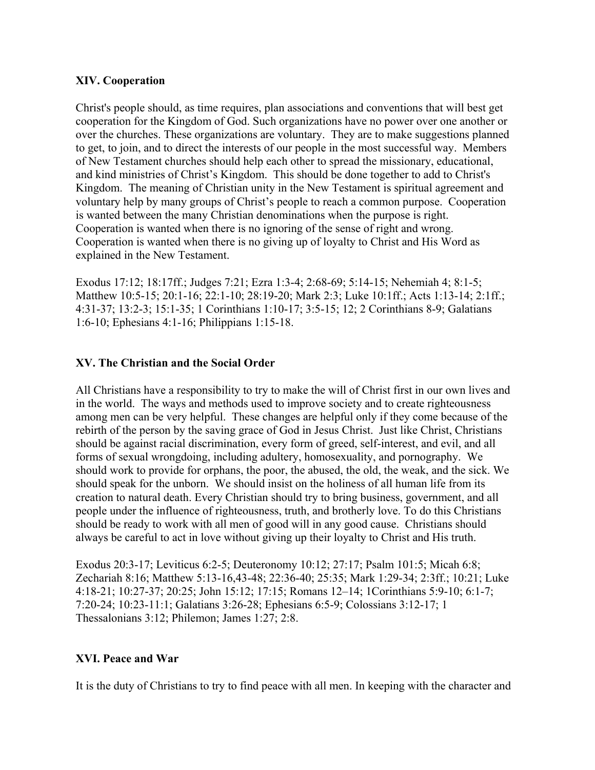# **XIV. Cooperation**

Christ's people should, as time requires, plan associations and conventions that will best get cooperation for the Kingdom of God. Such organizations have no power over one another or over the churches. These organizations are voluntary. They are to make suggestions planned to get, to join, and to direct the interests of our people in the most successful way. Members of New Testament churches should help each other to spread the missionary, educational, and kind ministries of Christ's Kingdom. This should be done together to add to Christ's Kingdom. The meaning of Christian unity in the New Testament is spiritual agreement and voluntary help by many groups of Christ's people to reach a common purpose. Cooperation is wanted between the many Christian denominations when the purpose is right. Cooperation is wanted when there is no ignoring of the sense of right and wrong. Cooperation is wanted when there is no giving up of loyalty to Christ and His Word as explained in the New Testament.

Exodus 17:12; 18:17ff.; Judges 7:21; Ezra 1:3-4; 2:68-69; 5:14-15; Nehemiah 4; 8:1-5; Matthew 10:5-15; 20:1-16; 22:1-10; 28:19-20; Mark 2:3; Luke 10:1ff.; Acts 1:13-14; 2:1ff.; 4:31-37; 13:2-3; 15:1-35; 1 Corinthians 1:10-17; 3:5-15; 12; 2 Corinthians 8-9; Galatians 1:6-10; Ephesians 4:1-16; Philippians 1:15-18.

#### **XV. The Christian and the Social Order**

All Christians have a responsibility to try to make the will of Christ first in our own lives and in the world. The ways and methods used to improve society and to create righteousness among men can be very helpful. These changes are helpful only if they come because of the rebirth of the person by the saving grace of God in Jesus Christ. Just like Christ, Christians should be against racial discrimination, every form of greed, self-interest, and evil, and all forms of sexual wrongdoing, including adultery, homosexuality, and pornography. We should work to provide for orphans, the poor, the abused, the old, the weak, and the sick. We should speak for the unborn. We should insist on the holiness of all human life from its creation to natural death. Every Christian should try to bring business, government, and all people under the influence of righteousness, truth, and brotherly love. To do this Christians should be ready to work with all men of good will in any good cause. Christians should always be careful to act in love without giving up their loyalty to Christ and His truth.

Exodus 20:3-17; Leviticus 6:2-5; Deuteronomy 10:12; 27:17; Psalm 101:5; Micah 6:8; Zechariah 8:16; Matthew 5:13-16,43-48; 22:36-40; 25:35; Mark 1:29-34; 2:3ff.; 10:21; Luke 4:18-21; 10:27-37; 20:25; John 15:12; 17:15; Romans 12–14; 1Corinthians 5:9-10; 6:1-7; 7:20-24; 10:23-11:1; Galatians 3:26-28; Ephesians 6:5-9; Colossians 3:12-17; 1 Thessalonians 3:12; Philemon; James 1:27; 2:8.

#### **XVI. Peace and War**

It is the duty of Christians to try to find peace with all men. In keeping with the character and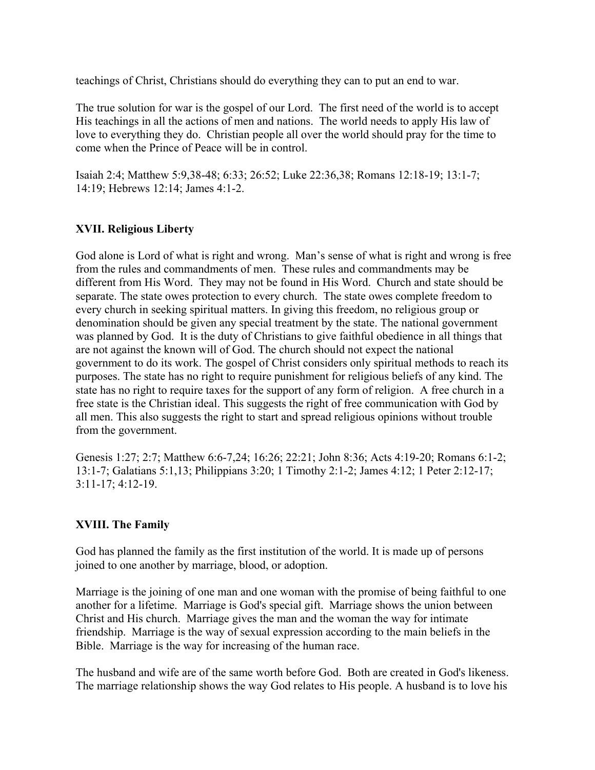teachings of Christ, Christians should do everything they can to put an end to war.

The true solution for war is the gospel of our Lord. The first need of the world is to accept His teachings in all the actions of men and nations. The world needs to apply His law of love to everything they do. Christian people all over the world should pray for the time to come when the Prince of Peace will be in control.

Isaiah 2:4; Matthew 5:9,38-48; 6:33; 26:52; Luke 22:36,38; Romans 12:18-19; 13:1-7; 14:19; Hebrews 12:14; James 4:1-2.

# **XVII. Religious Liberty**

God alone is Lord of what is right and wrong. Man's sense of what is right and wrong is free from the rules and commandments of men. These rules and commandments may be different from His Word. They may not be found in His Word. Church and state should be separate. The state owes protection to every church. The state owes complete freedom to every church in seeking spiritual matters. In giving this freedom, no religious group or denomination should be given any special treatment by the state. The national government was planned by God. It is the duty of Christians to give faithful obedience in all things that are not against the known will of God. The church should not expect the national government to do its work. The gospel of Christ considers only spiritual methods to reach its purposes. The state has no right to require punishment for religious beliefs of any kind. The state has no right to require taxes for the support of any form of religion. A free church in a free state is the Christian ideal. This suggests the right of free communication with God by all men. This also suggests the right to start and spread religious opinions without trouble from the government.

Genesis 1:27; 2:7; Matthew 6:6-7,24; 16:26; 22:21; John 8:36; Acts 4:19-20; Romans 6:1-2; 13:1-7; Galatians 5:1,13; Philippians 3:20; 1 Timothy 2:1-2; James 4:12; 1 Peter 2:12-17; 3:11-17; 4:12-19.

# **XVIII. The Family**

God has planned the family as the first institution of the world. It is made up of persons joined to one another by marriage, blood, or adoption.

Marriage is the joining of one man and one woman with the promise of being faithful to one another for a lifetime. Marriage is God's special gift. Marriage shows the union between Christ and His church. Marriage gives the man and the woman the way for intimate friendship. Marriage is the way of sexual expression according to the main beliefs in the Bible. Marriage is the way for increasing of the human race.

The husband and wife are of the same worth before God. Both are created in God's likeness. The marriage relationship shows the way God relates to His people. A husband is to love his